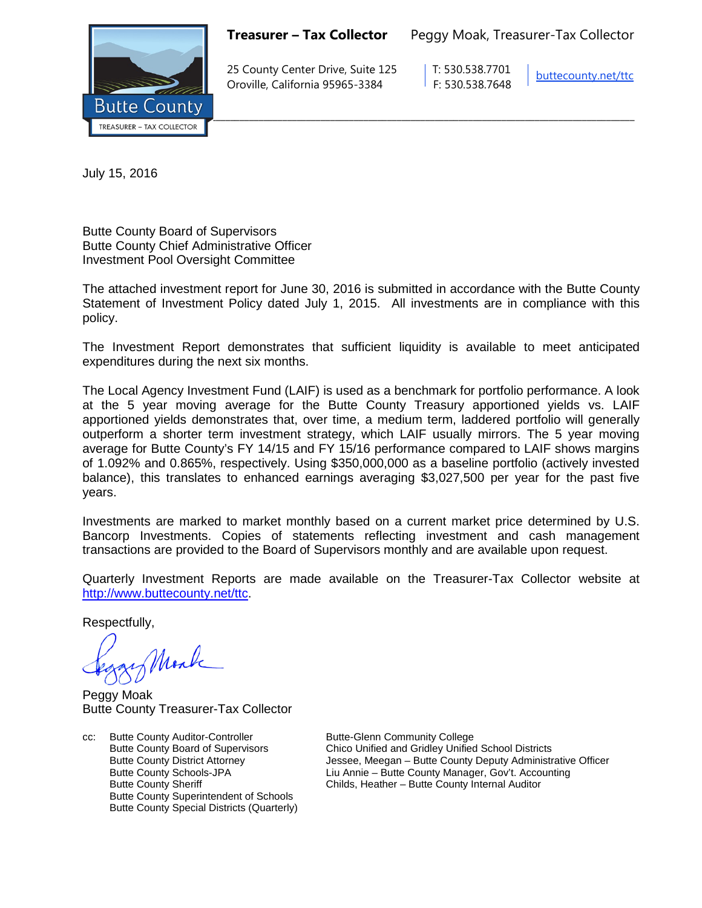

**Treasurer – Tax Collector** Peggy Moak, Treasurer-Tax Collector

25 County Center Drive, Suite 125 T: 530.538.7701 Oroville, California 95965-3384 F: 530.538.7648

[buttecounty.net/t](http://www.buttecounty.net/administration)tc

July 15, 2016

Butte County Board of Supervisors Butte County Chief Administrative Officer Investment Pool Oversight Committee

The attached investment report for June 30, 2016 is submitted in accordance with the Butte County Statement of Investment Policy dated July 1, 2015. All investments are in compliance with this policy.

The Investment Report demonstrates that sufficient liquidity is available to meet anticipated expenditures during the next six months.

The Local Agency Investment Fund (LAIF) is used as a benchmark for portfolio performance. A look at the 5 year moving average for the Butte County Treasury apportioned yields vs. LAIF apportioned yields demonstrates that, over time, a medium term, laddered portfolio will generally outperform a shorter term investment strategy, which LAIF usually mirrors. The 5 year moving average for Butte County's FY 14/15 and FY 15/16 performance compared to LAIF shows margins of 1.092% and 0.865%, respectively. Using \$350,000,000 as a baseline portfolio (actively invested balance), this translates to enhanced earnings averaging \$3,027,500 per year for the past five years.

Investments are marked to market monthly based on a current market price determined by U.S. Bancorp Investments. Copies of statements reflecting investment and cash management transactions are provided to the Board of Supervisors monthly and are available upon request.

Quarterly Investment Reports are made available on the Treasurer-Tax Collector website at <http://www.buttecounty.net/ttc>

Respectfully,

Mark

Peggy Moak Butte County Treasurer-Tax Collector

cc: Butte County Auditor-Controller Butte-Glenn Community College<br>Butte County Board of Supervisors Chico Unified and Gridley Unified Butte County Superintendent of Schools Butte County Special Districts (Quarterly)

Chico Unified and Gridley Unified School Districts Butte County District Attorney Jessee, Meegan – Butte County Deputy Administrative Officer Butte County Schools-JPA<br>
Eiu Annie – Butte County Manager, Gov't. Accounting<br>
Childs, Heather – Butte County Internal Auditor Childs, Heather – Butte County Internal Auditor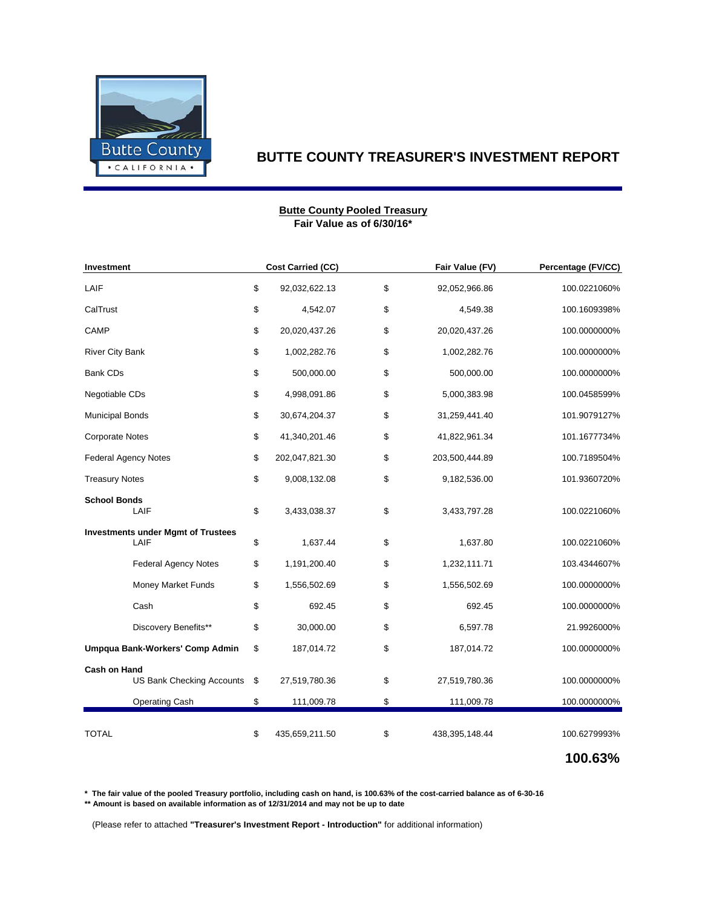

### **Fair Value as of 6/30/16\* Butte County Pooled Treasury**

| Investment                                        | Cost Carried (CC)    | Fair Value (FV)      | Percentage (FV/CC) |
|---------------------------------------------------|----------------------|----------------------|--------------------|
| LAIF                                              | \$<br>92,032,622.13  | \$<br>92,052,966.86  | 100.0221060%       |
| CalTrust                                          | \$<br>4,542.07       | \$<br>4,549.38       | 100.1609398%       |
| CAMP                                              | \$<br>20,020,437.26  | \$<br>20,020,437.26  | 100.0000000%       |
| River City Bank                                   | \$<br>1,002,282.76   | \$<br>1,002,282.76   | 100.0000000%       |
| <b>Bank CDs</b>                                   | \$<br>500,000.00     | \$<br>500,000.00     | 100.0000000%       |
| Negotiable CDs                                    | \$<br>4,998,091.86   | \$<br>5,000,383.98   | 100.0458599%       |
| <b>Municipal Bonds</b>                            | \$<br>30,674,204.37  | \$<br>31,259,441.40  | 101.9079127%       |
| <b>Corporate Notes</b>                            | \$<br>41,340,201.46  | \$<br>41,822,961.34  | 101.1677734%       |
| <b>Federal Agency Notes</b>                       | \$<br>202,047,821.30 | \$<br>203,500,444.89 | 100.7189504%       |
| <b>Treasury Notes</b>                             | \$<br>9,008,132.08   | \$<br>9,182,536.00   | 101.9360720%       |
| <b>School Bonds</b><br>LAIF                       | \$<br>3,433,038.37   | \$<br>3,433,797.28   | 100.0221060%       |
| <b>Investments under Mgmt of Trustees</b><br>LAIF | \$<br>1,637.44       | \$<br>1,637.80       | 100.0221060%       |
| <b>Federal Agency Notes</b>                       | \$<br>1,191,200.40   | \$<br>1,232,111.71   | 103.4344607%       |
| Money Market Funds                                | \$<br>1,556,502.69   | \$<br>1,556,502.69   | 100.0000000%       |
| Cash                                              | \$<br>692.45         | \$<br>692.45         | 100.0000000%       |
| Discovery Benefits**                              | \$<br>30,000.00      | \$<br>6,597.78       | 21.9926000%        |
| Umpqua Bank-Workers' Comp Admin                   | \$<br>187,014.72     | \$<br>187,014.72     | 100.0000000%       |
| <b>Cash on Hand</b><br>US Bank Checking Accounts  | \$<br>27,519,780.36  | \$<br>27,519,780.36  | 100.0000000%       |
| <b>Operating Cash</b>                             | \$<br>111,009.78     | \$<br>111,009.78     | 100.0000000%       |
| <b>TOTAL</b>                                      | \$<br>435,659,211.50 | \$<br>438,395,148.44 | 100.6279993%       |
|                                                   |                      |                      | 100.63%            |

**\* The fair value of the pooled Treasury portfolio, including cash on hand, is 100.63% of the cost-carried balance as of 6-30-16 \*\* Amount is based on available information as of 12/31/2014 and may not be up to date**

(Please refer to attached **"Treasurer's Investment Report - Introduction"** for additional information)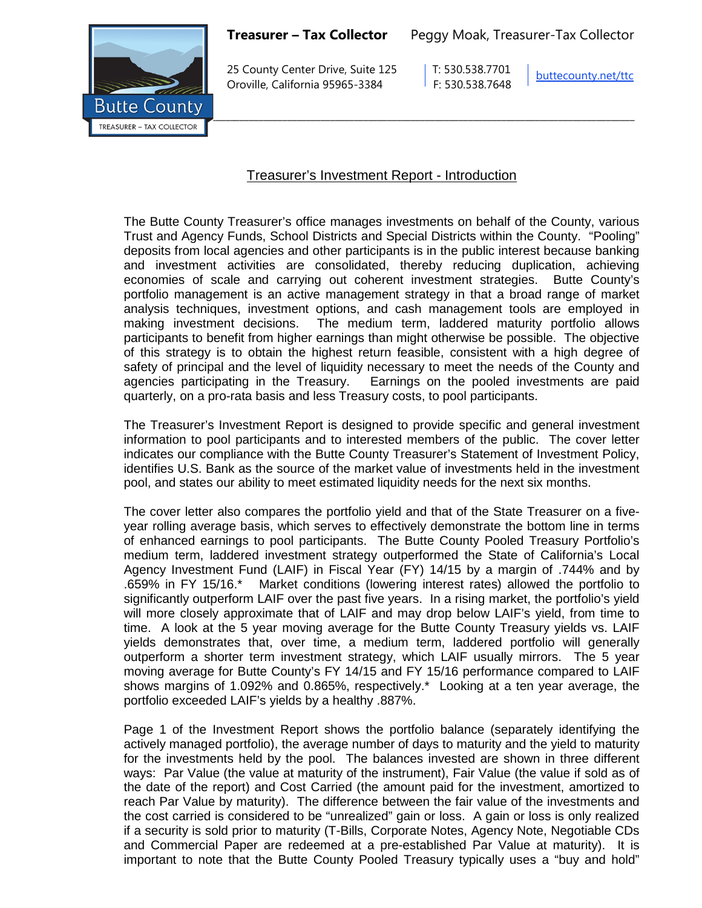

25 County Center Drive, Suite 125 T: 530.538.7701 Oroville, California 95965-3384 F: 530.538.7648

[buttecounty.net/t](http://www.buttecounty.net/administration)tc

# Treasurer's Investment Report - Introduction

The Butte County Treasurer's office manages investments on behalf of the County, various Trust and Agency Funds, School Districts and Special Districts within the County. "Pooling" deposits from local agencies and other participants is in the public interest because banking and investment activities are consolidated, thereby reducing duplication, achieving economies of scale and carrying out coherent investment strategies. Butte County's portfolio management is an active management strategy in that a broad range of market analysis techniques, investment options, and cash management tools are employed in making investment decisions. The medium term, laddered maturity portfolio allows participants to benefit from higher earnings than might otherwise be possible. The objective of this strategy is to obtain the highest return feasible, consistent with a high degree of safety of principal and the level of liquidity necessary to meet the needs of the County and agencies participating in the Treasury. Earnings on the pooled investments are paid quarterly, on a pro-rata basis and less Treasury costs, to pool participants.

The Treasurer's Investment Report is designed to provide specific and general investment information to pool participants and to interested members of the public. The cover letter indicates our compliance with the Butte County Treasurer's Statement of Investment Policy, identifies U.S. Bank as the source of the market value of investments held in the investment pool, and states our ability to meet estimated liquidity needs for the next six months.

The cover letter also compares the portfolio yield and that of the State Treasurer on a fiveyear rolling average basis, which serves to effectively demonstrate the bottom line in terms of enhanced earnings to pool participants. The Butte County Pooled Treasury Portfolio's medium term, laddered investment strategy outperformed the State of California's Local Agency Investment Fund (LAIF) in Fiscal Year (FY) 14/15 by a margin of .744% and by .659% in FY 15/16.\* Market conditions (lowering interest rates) allowed the portfolio to significantly outperform LAIF over the past five years. In a rising market, the portfolio's yield will more closely approximate that of LAIF and may drop below LAIF's yield, from time to time. A look at the 5 year moving average for the Butte County Treasury yields vs. LAIF yields demonstrates that, over time, a medium term, laddered portfolio will generally outperform a shorter term investment strategy, which LAIF usually mirrors. The 5 year moving average for Butte County's FY 14/15 and FY 15/16 performance compared to LAIF shows margins of 1.092% and 0.865%, respectively.\* Looking at a ten year average, the portfolio exceeded LAIF's yields by a healthy .887%.

Page 1 of the Investment Report shows the portfolio balance (separately identifying the actively managed portfolio), the average number of days to maturity and the yield to maturity for the investments held by the pool. The balances invested are shown in three different ways: Par Value (the value at maturity of the instrument), Fair Value (the value if sold as of the date of the report) and Cost Carried (the amount paid for the investment, amortized to reach Par Value by maturity). The difference between the fair value of the investments and the cost carried is considered to be "unrealized" gain or loss. A gain or loss is only realized if a security is sold prior to maturity (T-Bills, Corporate Notes, Agency Note, Negotiable CDs and Commercial Paper are redeemed at a pre-established Par Value at maturity). It is important to note that the Butte County Pooled Treasury typically uses a "buy and hold"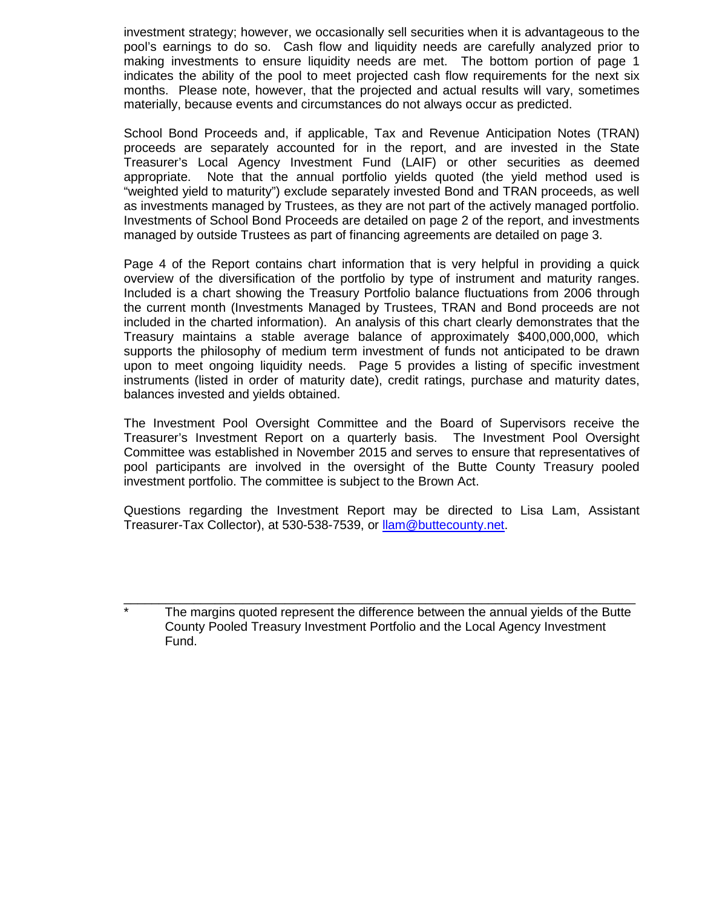investment strategy; however, we occasionally sell securities when it is advantageous to the pool's earnings to do so. Cash flow and liquidity needs are carefully analyzed prior to making investments to ensure liquidity needs are met. The bottom portion of page 1 indicates the ability of the pool to meet projected cash flow requirements for the next six months. Please note, however, that the projected and actual results will vary, sometimes materially, because events and circumstances do not always occur as predicted.

School Bond Proceeds and, if applicable, Tax and Revenue Anticipation Notes (TRAN) proceeds are separately accounted for in the report, and are invested in the State Treasurer's Local Agency Investment Fund (LAIF) or other securities as deemed appropriate. Note that the annual portfolio yields quoted (the yield method used is "weighted yield to maturity") exclude separately invested Bond and TRAN proceeds, as well as investments managed by Trustees, as they are not part of the actively managed portfolio. Investments of School Bond Proceeds are detailed on page 2 of the report, and investments managed by outside Trustees as part of financing agreements are detailed on page 3.

Page 4 of the Report contains chart information that is very helpful in providing a quick overview of the diversification of the portfolio by type of instrument and maturity ranges. Included is a chart showing the Treasury Portfolio balance fluctuations from 2006 through the current month (Investments Managed by Trustees, TRAN and Bond proceeds are not included in the charted information). An analysis of this chart clearly demonstrates that the Treasury maintains a stable average balance of approximately \$400,000,000, which supports the philosophy of medium term investment of funds not anticipated to be drawn upon to meet ongoing liquidity needs. Page 5 provides a listing of specific investment instruments (listed in order of maturity date), credit ratings, purchase and maturity dates, balances invested and yields obtained.

The Investment Pool Oversight Committee and the Board of Supervisors receive the Treasurer's Investment Report on a quarterly basis. The Investment Pool Oversight Committee was established in November 2015 and serves to ensure that representatives of pool participants are involved in the oversight of the Butte County Treasury pooled investment portfolio. The committee is subject to the Brown Act.

Questions regarding the Investment Report may be directed to Lisa Lam, Assistant Treasurer-Tax Collector), at 530-538-7539, or [llam@buttecounty.net.](mailto:llam@buttecounty.net)

The margins quoted represent the difference between the annual yields of the Butte County Pooled Treasury Investment Portfolio and the Local Agency Investment Fund.

\_\_\_\_\_\_\_\_\_\_\_\_\_\_\_\_\_\_\_\_\_\_\_\_\_\_\_\_\_\_\_\_\_\_\_\_\_\_\_\_\_\_\_\_\_\_\_\_\_\_\_\_\_\_\_\_\_\_\_\_\_\_\_\_\_\_\_\_\_\_\_\_\_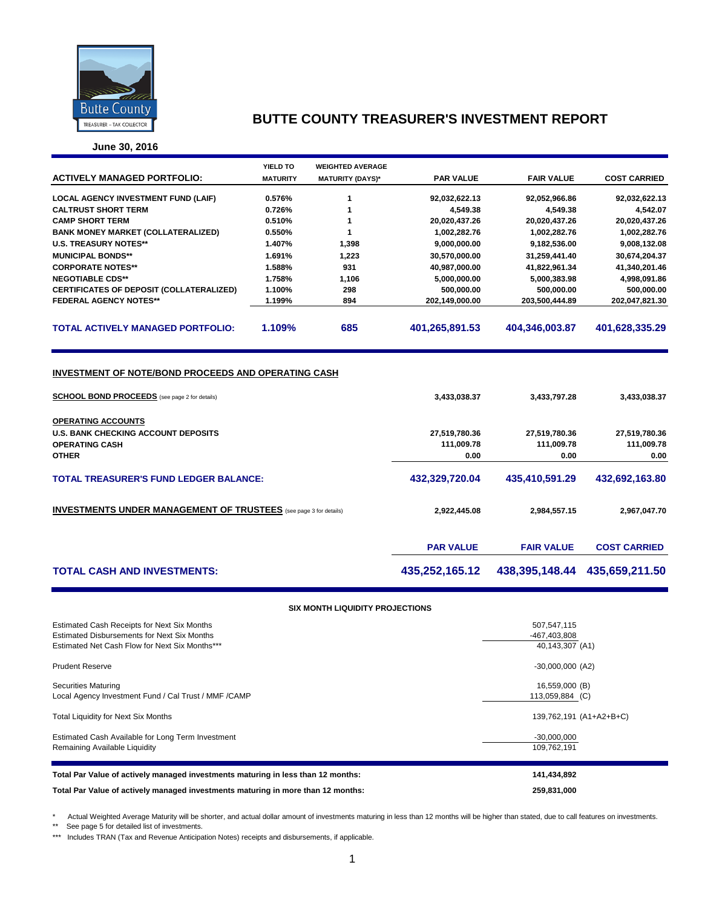

**June 30, 2016**

|                                                                                                             | YIELD TO         | <b>WEIGHTED AVERAGE</b> |                  |                   |                     |
|-------------------------------------------------------------------------------------------------------------|------------------|-------------------------|------------------|-------------------|---------------------|
| <b>ACTIVELY MANAGED PORTFOLIO:</b>                                                                          | <b>MATURITY</b>  | <b>MATURITY (DAYS)*</b> | <b>PAR VALUE</b> | <b>FAIR VALUE</b> | <b>COST CARRIED</b> |
|                                                                                                             |                  |                         |                  |                   |                     |
| <b>LOCAL AGENCY INVESTMENT FUND (LAIF)</b>                                                                  | 0.576%           | 1                       | 92,032,622.13    | 92,052,966.86     | 92,032,622.13       |
| <b>CALTRUST SHORT TERM</b><br><b>CAMP SHORT TERM</b>                                                        | 0.726%<br>0.510% | 1<br>1                  | 4,549.38         | 4,549.38          | 4,542.07            |
|                                                                                                             |                  |                         | 20,020,437.26    | 20,020,437.26     | 20,020,437.26       |
| <b>BANK MONEY MARKET (COLLATERALIZED)</b>                                                                   | 0.550%           | 1                       | 1,002,282.76     | 1,002,282.76      | 1,002,282.76        |
| <b>U.S. TREASURY NOTES**</b>                                                                                | 1.407%           | 1,398                   | 9,000,000.00     | 9,182,536.00      | 9,008,132.08        |
| <b>MUNICIPAL BONDS**</b>                                                                                    | 1.691%           | 1,223                   | 30,570,000.00    | 31,259,441.40     | 30,674,204.37       |
| <b>CORPORATE NOTES**</b>                                                                                    | 1.588%           | 931                     | 40,987,000.00    | 41,822,961.34     | 41,340,201.46       |
| <b>NEGOTIABLE CDS**</b>                                                                                     | 1.758%           | 1,106                   | 5,000,000.00     | 5,000,383.98      | 4,998,091.86        |
| CERTIFICATES OF DEPOSIT (COLLATERALIZED)                                                                    | 1.100%           | 298                     | 500,000.00       | 500,000.00        | 500,000.00          |
| <b>FEDERAL AGENCY NOTES**</b>                                                                               | 1.199%           | 894                     | 202,149,000.00   | 203,500,444.89    | 202,047,821.30      |
| <b>TOTAL ACTIVELY MANAGED PORTFOLIO:</b>                                                                    | 1.109%           | 685                     | 401,265,891.53   | 404,346,003.87    | 401,628,335.29      |
| INVESTMENT OF NOTE/BOND PROCEEDS AND OPERATING CASH<br><b>SCHOOL BOND PROCEEDS</b> (see page 2 for details) |                  | 3,433,038.37            | 3,433,797.28     | 3,433,038.37      |                     |
|                                                                                                             |                  |                         |                  |                   |                     |
| OPERATING ACCOUNTS                                                                                          |                  |                         |                  |                   |                     |
| <b>U.S. BANK CHECKING ACCOUNT DEPOSITS</b>                                                                  |                  |                         | 27,519,780.36    | 27,519,780.36     | 27,519,780.36       |
| <b>OPERATING CASH</b>                                                                                       |                  |                         | 111,009.78       | 111,009.78        | 111,009.78          |
| <b>OTHER</b>                                                                                                |                  |                         | 0.00             | 0.00              | 0.00                |
|                                                                                                             |                  |                         |                  |                   |                     |
| <b>TOTAL TREASURER'S FUND LEDGER BALANCE:</b>                                                               |                  |                         | 432,329,720.04   | 435,410,591.29    | 432,692,163.80      |
|                                                                                                             |                  |                         |                  |                   |                     |
| <b>INVESTMENTS UNDER MANAGEMENT OF TRUSTEES</b> (see page 3 for details)                                    | 2,922,445.08     | 2,984,557.15            | 2,967,047.70     |                   |                     |
|                                                                                                             |                  |                         | <b>PAR VALUE</b> | <b>FAIR VALUE</b> | <b>COST CARRIED</b> |
| <b>TOTAL CASH AND INVESTMENTS:</b>                                                                          |                  |                         | 435,252,165.12   | 438,395,148.44    | 435,659,211.50      |
|                                                                                                             |                  |                         |                  |                   |                     |

#### **SIX MONTH LIQUIDITY PROJECTIONS**

| Estimated Cash Receipts for Next Six Months                                      | 507,547,115             |
|----------------------------------------------------------------------------------|-------------------------|
| Estimated Disbursements for Next Six Months                                      | -467,403,808            |
| Estimated Net Cash Flow for Next Six Months***                                   | 40,143,307 (A1)         |
| <b>Prudent Reserve</b>                                                           | $-30,000,000$ (A2)      |
| <b>Securities Maturing</b>                                                       | 16,559,000 (B)          |
| Local Agency Investment Fund / Cal Trust / MMF / CAMP                            | 113,059,884 (C)         |
| <b>Total Liquidity for Next Six Months</b>                                       | 139,762,191 (A1+A2+B+C) |
| Estimated Cash Available for Long Term Investment                                | $-30,000,000$           |
| Remaining Available Liquidity                                                    | 109,762,191             |
|                                                                                  |                         |
| Total Par Value of actively managed investments maturing in less than 12 months: | 141,434,892             |
| Total Par Value of actively managed investments maturing in more than 12 months: | 259,831,000             |

\* Actual Weighted Average Maturity will be shorter, and actual dollar amount of investments maturing in less than 12 months will be higher than stated, due to call features on investments.

\*\* See page 5 for detailed list of investments.

\*\*\* Includes TRAN (Tax and Revenue Anticipation Notes) receipts and disbursements, if applicable.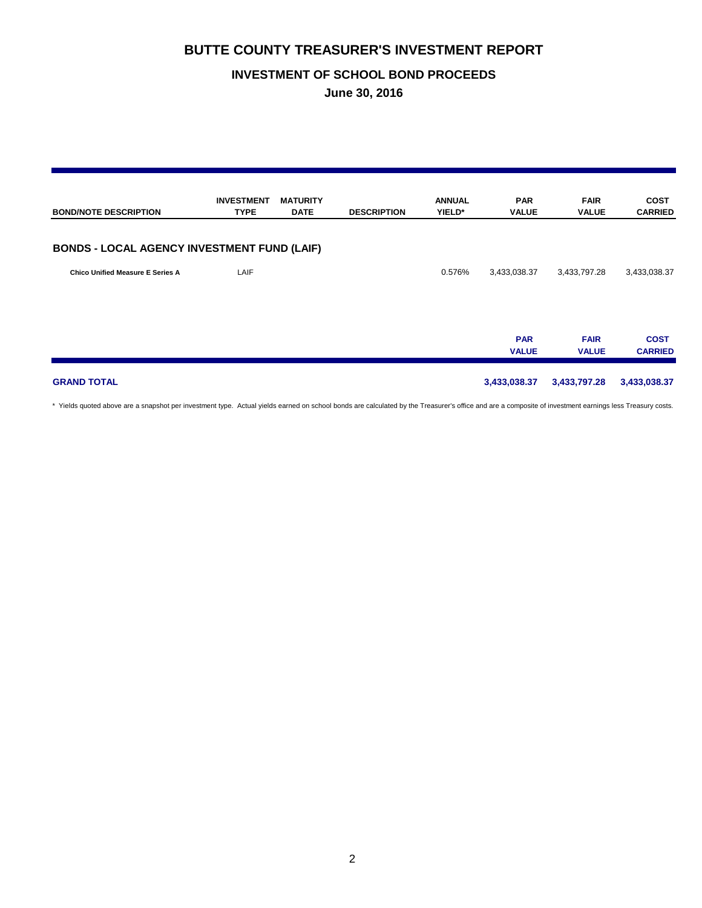## **INVESTMENT OF SCHOOL BOND PROCEEDS**

**June 30, 2016**

| <b>BOND/NOTE DESCRIPTION</b>                       | <b>INVESTMENT</b><br><b>TYPE</b> | <b>MATURITY</b><br><b>DATE</b> | <b>DESCRIPTION</b> | <b>ANNUAL</b><br>YIELD* | <b>PAR</b><br><b>VALUE</b> | <b>FAIR</b><br><b>VALUE</b> | <b>COST</b><br><b>CARRIED</b> |
|----------------------------------------------------|----------------------------------|--------------------------------|--------------------|-------------------------|----------------------------|-----------------------------|-------------------------------|
| <b>BONDS - LOCAL AGENCY INVESTMENT FUND (LAIF)</b> |                                  |                                |                    |                         |                            |                             |                               |
| <b>Chico Unified Measure E Series A</b>            | LAIF                             |                                |                    | 0.576%                  | 3,433,038.37               | 3,433,797.28                | 3,433,038.37                  |
|                                                    |                                  |                                |                    |                         | <b>PAR</b><br><b>VALUE</b> | <b>FAIR</b><br><b>VALUE</b> | <b>COST</b><br><b>CARRIED</b> |
| <b>GRAND TOTAL</b>                                 |                                  |                                |                    |                         | 3,433,038.37               | 3,433,797.28                | 3,433,038.37                  |

\* Yields quoted above are a snapshot per investment type. Actual yields earned on school bonds are calculated by the Treasurer's office and are a composite of investment earnings less Treasury costs.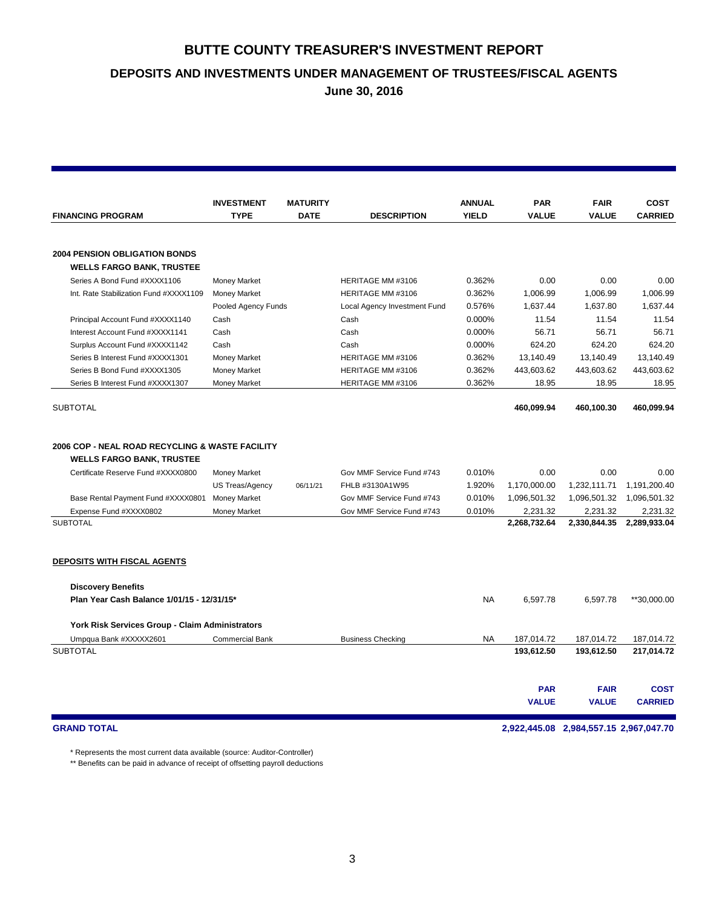**DEPOSITS AND INVESTMENTS UNDER MANAGEMENT OF TRUSTEES/FISCAL AGENTS**

**June 30, 2016**

|                                                 | <b>INVESTMENT</b>      | <b>MATURITY</b> |                              | <b>ANNUAL</b> | <b>PAR</b>               | <b>FAIR</b>              | COST                     |
|-------------------------------------------------|------------------------|-----------------|------------------------------|---------------|--------------------------|--------------------------|--------------------------|
| <b>FINANCING PROGRAM</b>                        | <b>TYPE</b>            | <b>DATE</b>     | <b>DESCRIPTION</b>           | <b>YIELD</b>  | <b>VALUE</b>             | <b>VALUE</b>             | <b>CARRIED</b>           |
|                                                 |                        |                 |                              |               |                          |                          |                          |
| <b>2004 PENSION OBLIGATION BONDS</b>            |                        |                 |                              |               |                          |                          |                          |
| <b>WELLS FARGO BANK, TRUSTEE</b>                |                        |                 |                              |               |                          |                          |                          |
| Series A Bond Fund #XXXX1106                    | <b>Money Market</b>    |                 | HERITAGE MM #3106            | 0.362%        | 0.00                     | 0.00                     | 0.00                     |
| Int. Rate Stabilization Fund #XXXX1109          | <b>Money Market</b>    |                 | HERITAGE MM #3106            | 0.362%        | 1.006.99                 | 1,006.99                 | 1.006.99                 |
|                                                 | Pooled Agency Funds    |                 | Local Agency Investment Fund | 0.576%        | 1,637.44                 | 1,637.80                 | 1,637.44                 |
| Principal Account Fund #XXXX1140                | Cash                   |                 | Cash                         | 0.000%        | 11.54                    | 11.54                    | 11.54                    |
| Interest Account Fund #XXXX1141                 | Cash                   |                 | Cash                         | 0.000%        | 56.71                    | 56.71                    | 56.71                    |
| Surplus Account Fund #XXXX1142                  | Cash                   |                 | Cash                         | 0.000%        | 624.20                   | 624.20                   | 624.20                   |
| Series B Interest Fund #XXXX1301                | <b>Money Market</b>    |                 | HERITAGE MM #3106            | 0.362%        | 13,140.49                | 13,140.49                | 13,140.49                |
| Series B Bond Fund #XXXX1305                    | <b>Money Market</b>    |                 | HERITAGE MM #3106            | 0.362%        | 443,603.62               | 443,603.62               | 443,603.62               |
| Series B Interest Fund #XXXX1307                | <b>Money Market</b>    |                 | HERITAGE MM #3106            | 0.362%        | 18.95                    | 18.95                    | 18.95                    |
| <b>SUBTOTAL</b>                                 |                        |                 |                              |               | 460.099.94               | 460,100.30               | 460,099.94               |
| 2006 COP - NEAL ROAD RECYCLING & WASTE FACILITY |                        |                 |                              |               |                          |                          |                          |
| <b>WELLS FARGO BANK, TRUSTEE</b>                |                        |                 |                              |               |                          |                          |                          |
| Certificate Reserve Fund #XXXX0800              | <b>Money Market</b>    |                 | Gov MMF Service Fund #743    | 0.010%        | 0.00                     | 0.00                     | 0.00                     |
|                                                 | US Treas/Agency        | 06/11/21        | FHLB #3130A1W95              | 1.920%        | 1,170,000.00             | 1,232,111.71             | 1,191,200.40             |
| Base Rental Payment Fund #XXXX0801              | <b>Money Market</b>    |                 | Gov MMF Service Fund #743    | 0.010%        | 1,096,501.32             | 1,096,501.32             | 1,096,501.32             |
| Expense Fund #XXXX0802                          | <b>Money Market</b>    |                 | Gov MMF Service Fund #743    | 0.010%        | 2,231.32                 | 2,231.32                 | 2,231.32                 |
| <b>SUBTOTAL</b>                                 |                        |                 |                              |               | 2,268,732.64             | 2,330,844.35             | 2,289,933.04             |
| <b>DEPOSITS WITH FISCAL AGENTS</b>              |                        |                 |                              |               |                          |                          |                          |
| <b>Discovery Benefits</b>                       |                        |                 |                              |               |                          |                          |                          |
| Plan Year Cash Balance 1/01/15 - 12/31/15*      |                        |                 |                              | <b>NA</b>     | 6,597.78                 | 6,597.78                 | **30,000.00              |
| York Risk Services Group - Claim Administrators |                        |                 |                              |               |                          |                          |                          |
|                                                 | <b>Commercial Bank</b> |                 | <b>Business Checking</b>     | <b>NA</b>     |                          |                          |                          |
| Umpqua Bank #XXXXX2601<br><b>SUBTOTAL</b>       |                        |                 |                              |               | 187,014.72<br>193,612.50 | 187,014.72<br>193,612.50 | 187,014.72<br>217,014.72 |
|                                                 |                        |                 |                              |               |                          |                          |                          |
|                                                 |                        |                 |                              |               | <b>PAR</b>               | <b>FAIR</b>              | <b>COST</b>              |
|                                                 |                        |                 |                              |               | <b>VALUE</b>             | <b>VALUE</b>             | <b>CARRIED</b>           |
|                                                 |                        |                 |                              |               |                          |                          |                          |

### **GRAND TOTAL 2,922,445.08 2,984,557.15 2,967,047.70**

\* Represents the most current data available (source: Auditor-Controller)

\*\* Benefits can be paid in advance of receipt of offsetting payroll deductions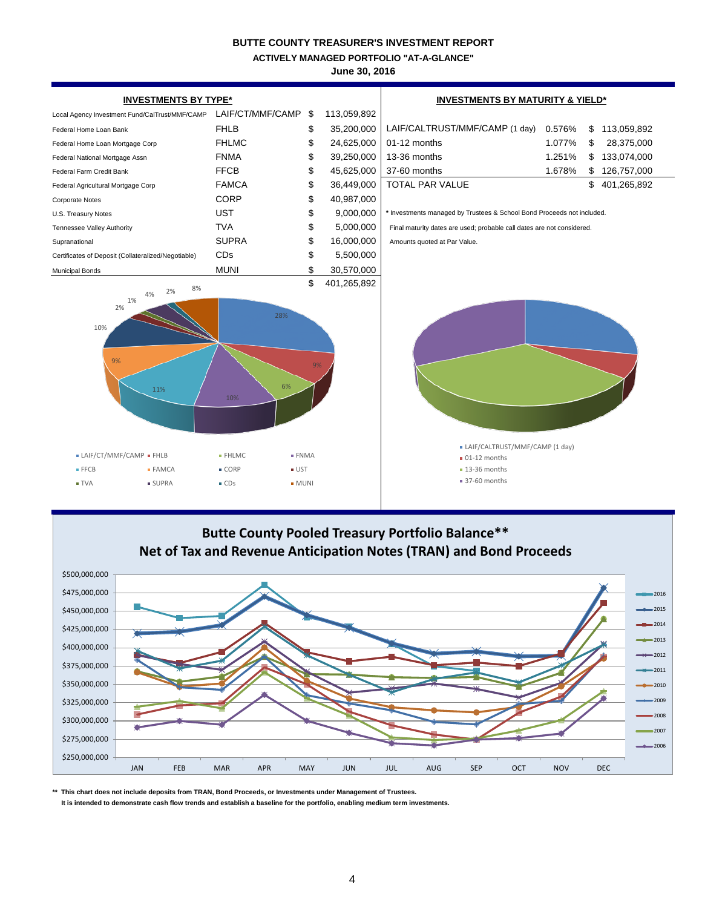**ACTIVELY MANAGED PORTFOLIO "AT-A-GLANCE"**

**June 30, 2016**



# **Butte County Pooled Treasury Portfolio Balance\*\* Net of Tax and Revenue Anticipation Notes (TRAN) and Bond Proceeds**



**\*\* This chart does not include deposits from TRAN, Bond Proceeds, or Investments under Management of Trustees.**

 **It is intended to demonstrate cash flow trends and establish a baseline for the portfolio, enabling medium term investments.**